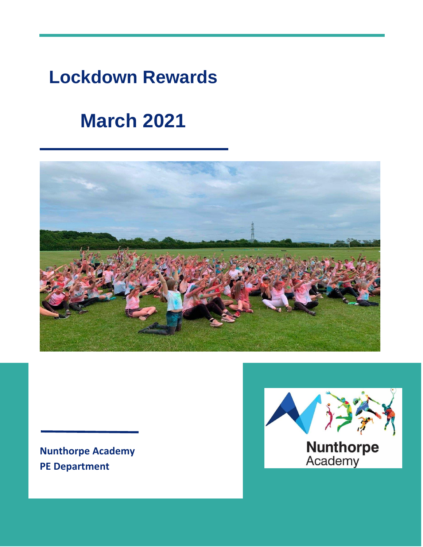# **Lockdown Rewards**

# **March 2021**



**Nunthorpe Academy PE Department**

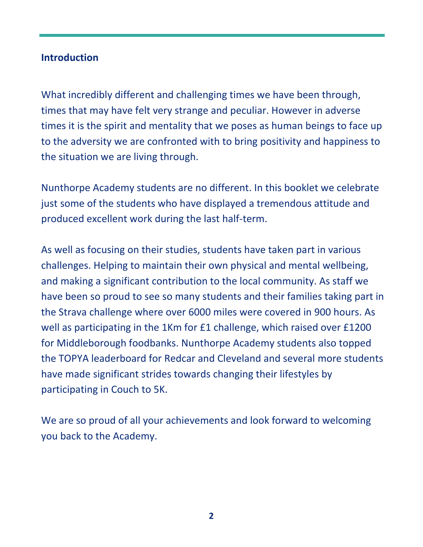### **Introduction**

What incredibly different and challenging times we have been through, times that may have felt very strange and peculiar. However in adverse times it is the spirit and mentality that we poses as human beings to face up to the adversity we are confronted with to bring positivity and happiness to the situation we are living through.

Nunthorpe Academy students are no different. In this booklet we celebrate just some of the students who have displayed a tremendous attitude and produced excellent work during the last half-term.

As well as focusing on their studies, students have taken part in various challenges. Helping to maintain their own physical and mental wellbeing, and making a significant contribution to the local community. As staff we have been so proud to see so many students and their families taking part in the Strava challenge where over 6000 miles were covered in 900 hours. As well as participating in the 1Km for £1 challenge, which raised over £1200 for Middleborough foodbanks. Nunthorpe Academy students also topped the TOPYA leaderboard for Redcar and Cleveland and several more students have made significant strides towards changing their lifestyles by participating in Couch to 5K.

We are so proud of all your achievements and look forward to welcoming you back to the Academy.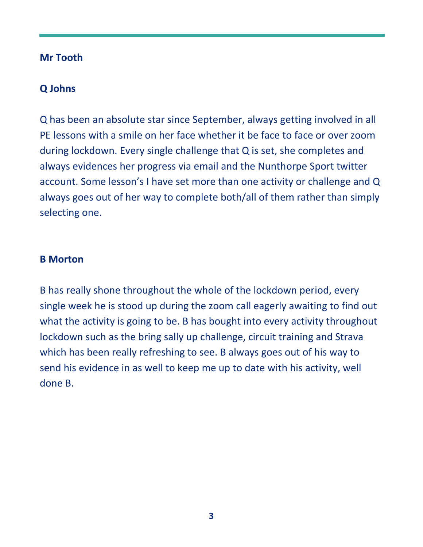### **Mr Tooth**

# **Q Johns**

Q has been an absolute star since September, always getting involved in all PE lessons with a smile on her face whether it be face to face or over zoom during lockdown. Every single challenge that Q is set, she completes and always evidences her progress via email and the Nunthorpe Sport twitter account. Some lesson's I have set more than one activity or challenge and Q always goes out of her way to complete both/all of them rather than simply selecting one.

#### **B Morton**

B has really shone throughout the whole of the lockdown period, every single week he is stood up during the zoom call eagerly awaiting to find out what the activity is going to be. B has bought into every activity throughout lockdown such as the bring sally up challenge, circuit training and Strava which has been really refreshing to see. B always goes out of his way to send his evidence in as well to keep me up to date with his activity, well done B.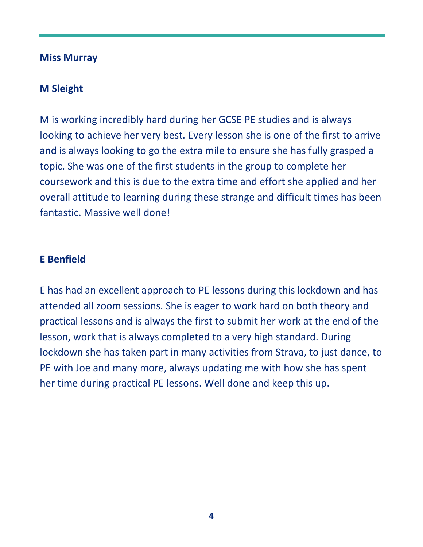#### **Miss Murray**

# **M Sleight**

M is working incredibly hard during her GCSE PE studies and is always looking to achieve her very best. Every lesson she is one of the first to arrive and is always looking to go the extra mile to ensure she has fully grasped a topic. She was one of the first students in the group to complete her coursework and this is due to the extra time and effort she applied and her overall attitude to learning during these strange and difficult times has been fantastic. Massive well done!

#### **E Benfield**

E has had an excellent approach to PE lessons during this lockdown and has attended all zoom sessions. She is eager to work hard on both theory and practical lessons and is always the first to submit her work at the end of the lesson, work that is always completed to a very high standard. During lockdown she has taken part in many activities from Strava, to just dance, to PE with Joe and many more, always updating me with how she has spent her time during practical PE lessons. Well done and keep this up.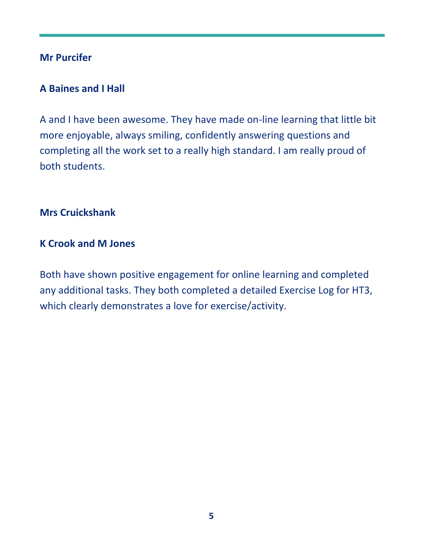# **Mr Purcifer**

# **A Baines and I Hall**

A and I have been awesome. They have made on-line learning that little bit more enjoyable, always smiling, confidently answering questions and completing all the work set to a really high standard. I am really proud of both students.

#### **Mrs Cruickshank**

#### **K Crook and M Jones**

Both have shown positive engagement for online learning and completed any additional tasks. They both completed a detailed Exercise Log for HT3, which clearly demonstrates a love for exercise/activity.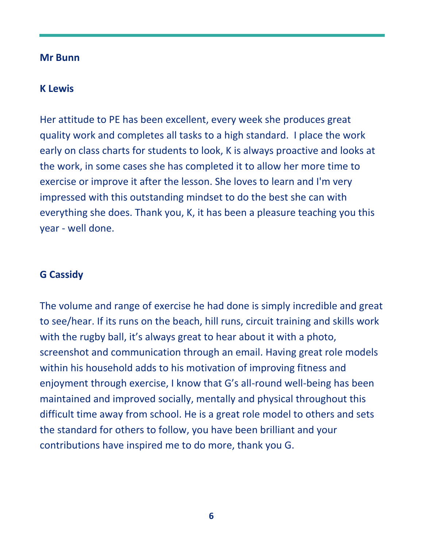#### **Mr Bunn**

#### **K Lewis**

Her attitude to PE has been excellent, every week she produces great quality work and completes all tasks to a high standard. I place the work early on class charts for students to look, K is always proactive and looks at the work, in some cases she has completed it to allow her more time to exercise or improve it after the lesson. She loves to learn and I'm very impressed with this outstanding mindset to do the best she can with everything she does. Thank you, K, it has been a pleasure teaching you this year - well done.

### **G Cassidy**

The volume and range of exercise he had done is simply incredible and great to see/hear. If its runs on the beach, hill runs, circuit training and skills work with the rugby ball, it's always great to hear about it with a photo, screenshot and communication through an email. Having great role models within his household adds to his motivation of improving fitness and enjoyment through exercise, I know that G's all-round well-being has been maintained and improved socially, mentally and physical throughout this difficult time away from school. He is a great role model to others and sets the standard for others to follow, you have been brilliant and your contributions have inspired me to do more, thank you G.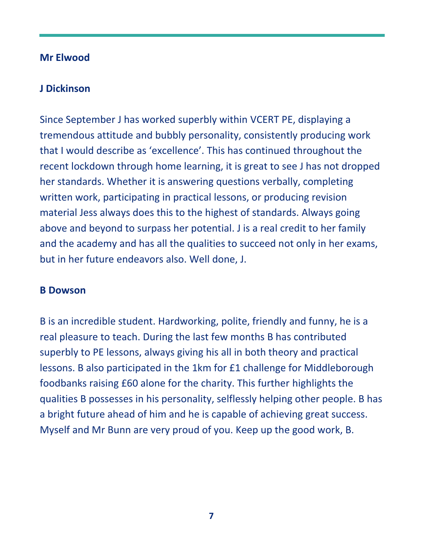#### **Mr Elwood**

# **J Dickinson**

Since September J has worked superbly within VCERT PE, displaying a tremendous attitude and bubbly personality, consistently producing work that I would describe as 'excellence'. This has continued throughout the recent lockdown through home learning, it is great to see J has not dropped her standards. Whether it is answering questions verbally, completing written work, participating in practical lessons, or producing revision material Jess always does this to the highest of standards. Always going above and beyond to surpass her potential. J is a real credit to her family and the academy and has all the qualities to succeed not only in her exams, but in her future endeavors also. Well done, J.

#### **B Dowson**

B is an incredible student. Hardworking, polite, friendly and funny, he is a real pleasure to teach. During the last few months B has contributed superbly to PE lessons, always giving his all in both theory and practical lessons. B also participated in the 1km for £1 challenge for Middleborough foodbanks raising £60 alone for the charity. This further highlights the qualities B possesses in his personality, selflessly helping other people. B has a bright future ahead of him and he is capable of achieving great success. Myself and Mr Bunn are very proud of you. Keep up the good work, B.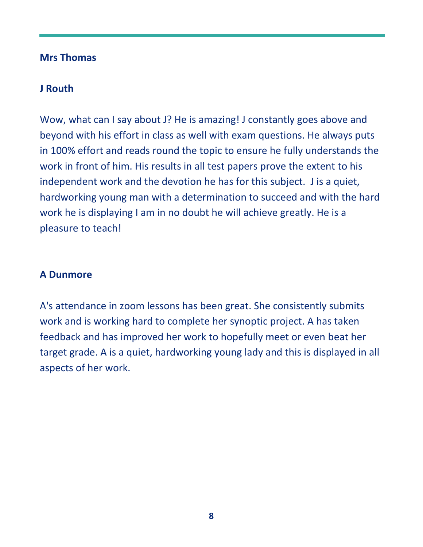#### **Mrs Thomas**

### **J Routh**

Wow, what can I say about J? He is amazing! J constantly goes above and beyond with his effort in class as well with exam questions. He always puts in 100% effort and reads round the topic to ensure he fully understands the work in front of him. His results in all test papers prove the extent to his independent work and the devotion he has for this subject. J is a quiet, hardworking young man with a determination to succeed and with the hard work he is displaying I am in no doubt he will achieve greatly. He is a pleasure to teach!

# **A Dunmore**

A's attendance in zoom lessons has been great. She consistently submits work and is working hard to complete her synoptic project. A has taken feedback and has improved her work to hopefully meet or even beat her target grade. A is a quiet, hardworking young lady and this is displayed in all aspects of her work.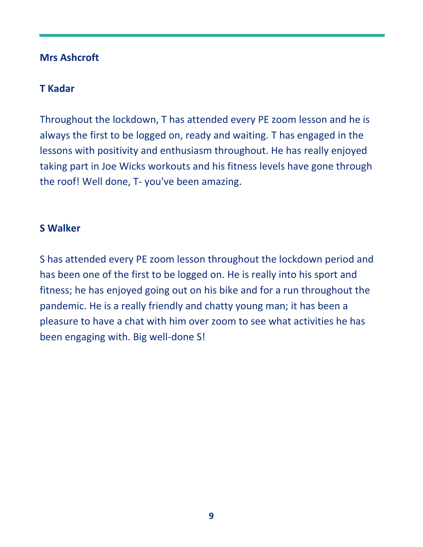# **Mrs Ashcroft**

# **T Kadar**

Throughout the lockdown, T has attended every PE zoom lesson and he is always the first to be logged on, ready and waiting. T has engaged in the lessons with positivity and enthusiasm throughout. He has really enjoyed taking part in Joe Wicks workouts and his fitness levels have gone through the roof! Well done, T- you've been amazing.

#### **S Walker**

S has attended every PE zoom lesson throughout the lockdown period and has been one of the first to be logged on. He is really into his sport and fitness; he has enjoyed going out on his bike and for a run throughout the pandemic. He is a really friendly and chatty young man; it has been a pleasure to have a chat with him over zoom to see what activities he has been engaging with. Big well-done S!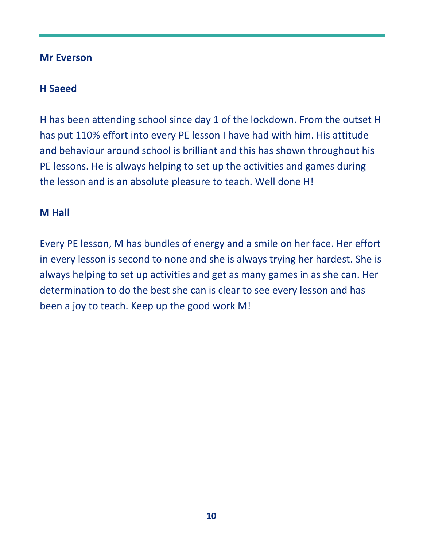# **Mr Everson**

# **H Saeed**

H has been attending school since day 1 of the lockdown. From the outset H has put 110% effort into every PE lesson I have had with him. His attitude and behaviour around school is brilliant and this has shown throughout his PE lessons. He is always helping to set up the activities and games during the lesson and is an absolute pleasure to teach. Well done H!

### **M Hall**

Every PE lesson, M has bundles of energy and a smile on her face. Her effort in every lesson is second to none and she is always trying her hardest. She is always helping to set up activities and get as many games in as she can. Her determination to do the best she can is clear to see every lesson and has been a joy to teach. Keep up the good work M!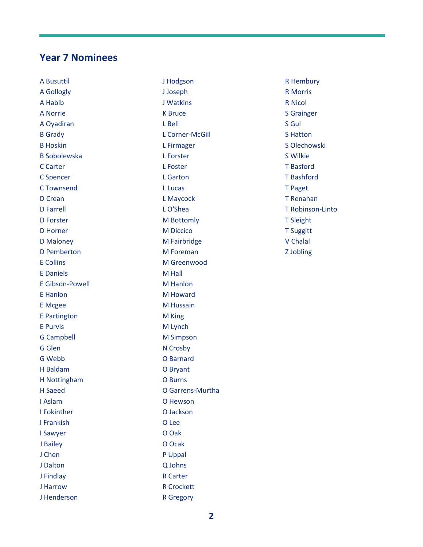#### **Year 7 Nominees**

A Busuttil A Gollogly A Habib A Norrie A Oyadiran B Grady B Hoskin B Sobolewska C Carter C Spencer C Townsend D Crean D Farrell D Forster D Horner D Maloney D Pemberton E Collins E Daniels E Gibson-Powell E Hanlon E Mcgee E Partington E Purvis G Campbell G Glen G Webb H Baldam H Nottingham H Saeed I Aslam I Fokinther I Frankish I Sawyer J Bailey J Chen J Dalton J Findlay J Harrow J Henderson

J Hodgson J Joseph J Watkins K Bruce L Bell L Corner-McGill L Firmager L Forster L Foster L Garton L Lucas L Maycock L O'Shea M Bottomly M Diccico M Fairbridge M Foreman M Greenwood M Hall M Hanlon M Howard M Hussain M King M Lynch M Simpson N Crosby O Barnard O Bryant O Burns O Garrens-Murtha O Hewson O Jackson O Lee O Oak O Ocak P Uppal Q Johns R Carter R Crockett

R Hembury R Morris R Nicol S Grainger S Gul S Hatton S Olechowski S Wilkie T Basford T Bashford T Paget T Renahan T Robinson-Linto T Sleight T Suggitt V Chalal Z Jobling

R Gregory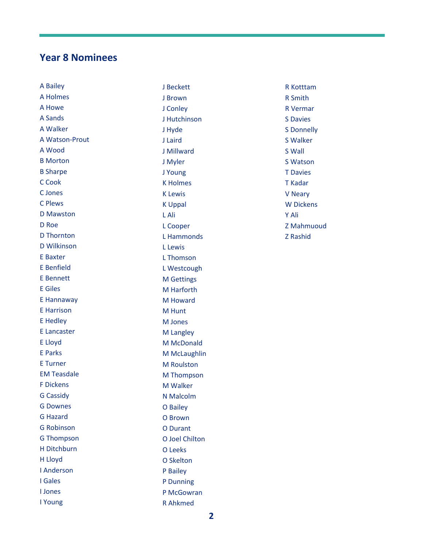#### **Year 8 Nominees**

A Bailey A Holmes A Howe A Sands A Walker A Watson -Prout A Wood B Morton B Sharpe C Cook C Jones C Plews D Mawston D Roe D Thornton D Wilkinson E Baxter E Benfield E Bennett E Giles E Hannaway E Harrison E Hedley E Lancaster E Lloyd E Parks E Turner EM Teasdale F Dickens G Cassidy G Downes G Hazard G Robinson G Thompson H Ditchburn H Lloyd I Anderson I Gales I Jones I Young

J Beckett J Brown J Conley J Hutchinson J Hyde J Laird J Millward J Myler J Young K Holmes K Lewis K Uppal L Ali L Cooper L Hammonds L Lewis L Thomson L Westcough M Gettings M Harforth M Howard M Hunt M Jones M Langley M McDonald M McLaughlin M Roulston M Thompson M Walker N Malcolm O Bailey O Brown O Durant O Joel Chilton O Leeks O Skelton P Bailey P Dunning P McGowran R Ahkmed

R Kotttam R Smith R Vermar S Davies S Donnelly S Walker S Wall S Watson T Davies T Kadar V Neary W Dickens Y Ali Z Mahmuoud Z Rashid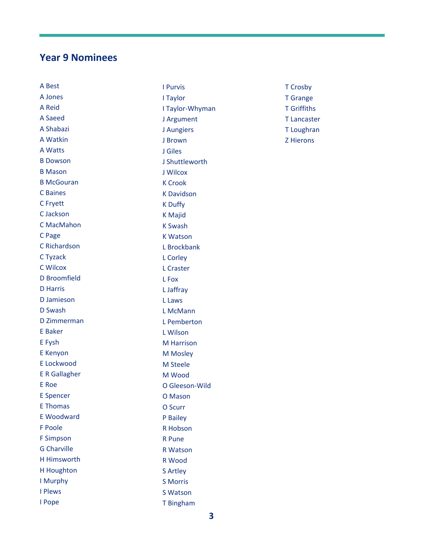#### **Year 9 Nominees**

A Best A Jones A Reid A Saeed A Shabazi A Watkin A Watts B Dowson B Mason B McGouran C Baines C Fryett C Jackson C MacMahon C Page C Richardson C Tyzack C Wilcox D Broomfield D Harris D Jamieson D Swash D Zimmerman E Baker E Fysh E Kenyon E Lockwood E R Gallagher E Roe E Spencer E Thomas E Woodward F Poole F Simpson G Charville H Himsworth H Houghton I Murphy I Plews I Pope

I Purvis I Taylor I Taylor -Whyman J Argument J Aungiers J Brown J Giles J Shuttleworth J Wilcox K Crook K Davidson K Duffy K Majid K Swash K Watson L Brockbank L Corley L Craster L Fox L Jaffray L Laws L McMann L Pemberton L Wilson M Harrison M Mosley M Steele M Wood O Gleeson -Wild O Mason O Scurr P Bailey R Hobson R Pune R Watson R Wood S Artley S Morris S Watson

T Crosby T Grange T Griffiths T Lancaster T Loughran Z Hierons

T Bingham